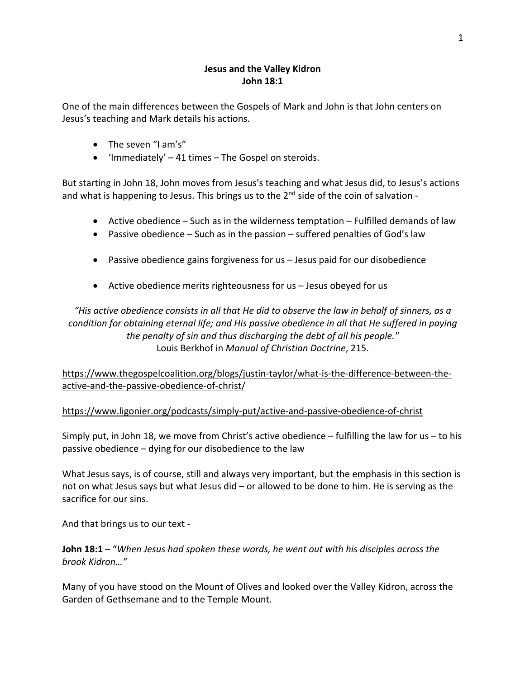## **Jesus and the Valley Kidron John 18:1**

One of the main differences between the Gospels of Mark and John is that John centers on Jesus's teaching and Mark details his actions.

- The seven "I am's"
- 'Immediately' 41 times The Gospel on steroids.

But starting in John 18, John moves from Jesus's teaching and what Jesus did, to Jesus's actions and what is happening to Jesus. This brings us to the  $2^{nd}$  side of the coin of salvation -

- Active obedience Such as in the wilderness temptation Fulfilled demands of law
- Passive obedience Such as in the passion suffered penalties of God's law
- Passive obedience gains forgiveness for us Jesus paid for our disobedience
- Active obedience merits righteousness for us Jesus obeyed for us

*"His active obedience consists in all that He did to observe the law in behalf of sinners, as a condition for obtaining eternal life; and His passive obedience in all that He suffered in paying the penalty of sin and thus discharging the debt of all his people."* Louis Berkhof in *Manual of Christian Doctrine*, 215.

https://www.thegospelcoalition.org/blogs/justin-taylor/what-is-the-difference-between-theactive-and-the-passive-obedience-of-christ/

## https://www.ligonier.org/podcasts/simply-put/active-and-passive-obedience-of-christ

Simply put, in John 18, we move from Christ's active obedience  $-$  fulfilling the law for us  $-$  to his passive obedience – dying for our disobedience to the law

What Jesus says, is of course, still and always very important, but the emphasis in this section is not on what Jesus says but what Jesus did – or allowed to be done to him. He is serving as the sacrifice for our sins.

And that brings us to our text -

**John 18:1** – "*When Jesus had spoken these words, he went out with his disciples across the brook Kidron…"*

Many of you have stood on the Mount of Olives and looked over the Valley Kidron, across the Garden of Gethsemane and to the Temple Mount.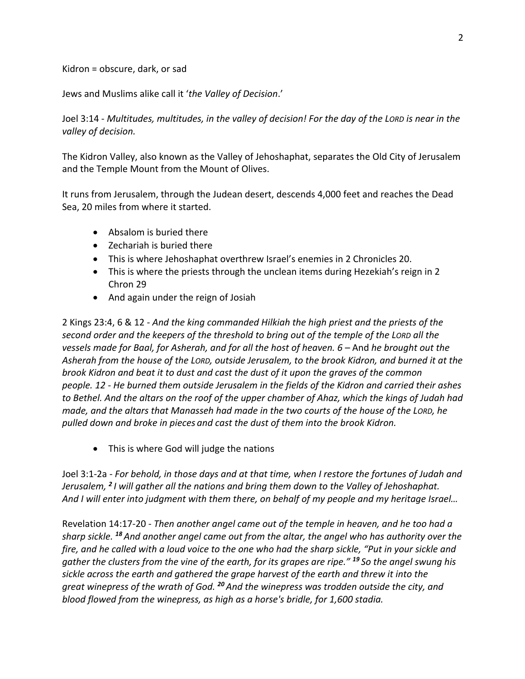Kidron = obscure, dark, or sad

Jews and Muslims alike call it '*the Valley of Decision*.'

Joel 3:14 - *Multitudes, multitudes, in the valley of decision! For the day of the LORD is near in the valley of decision.*

The Kidron Valley, also known as the Valley of Jehoshaphat, separates the Old City of Jerusalem and the Temple Mount from the Mount of Olives.

It runs from Jerusalem, through the Judean desert, descends 4,000 feet and reaches the Dead Sea, 20 miles from where it started.

- Absalom is buried there
- Zechariah is buried there
- This is where Jehoshaphat overthrew Israel's enemies in 2 Chronicles 20.
- This is where the priests through the unclean items during Hezekiah's reign in 2 Chron 29
- And again under the reign of Josiah

2 Kings 23:4, 6 & 12 - *And the king commanded Hilkiah the high priest and the priests of the second order and the keepers of the threshold to bring out of the temple of the LORD all the vessels made for Baal, for Asherah, and for all the host of heaven. 6 –* And *he brought out the Asherah from the house of the LORD, outside Jerusalem, to the brook Kidron, and burned it at the brook Kidron and beat it to dust and cast the dust of it upon the graves of the common people. 12 - He burned them outside Jerusalem in the fields of the Kidron and carried their ashes to Bethel. And the altars on the roof of the upper chamber of Ahaz, which the kings of Judah had made, and the altars that Manasseh had made in the two courts of the house of the LORD, he pulled down and broke in pieces and cast the dust of them into the brook Kidron.*

• This is where God will judge the nations

Joel 3:1-2a - *For behold, in those days and at that time, when I restore the fortunes of Judah and Jerusalem, <sup>2</sup> I will gather all the nations and bring them down to the Valley of Jehoshaphat. And I will enter into judgment with them there, on behalf of my people and my heritage Israel…*

Revelation 14:17-20 - *Then another angel came out of the temple in heaven, and he too had a sharp sickle. <sup>18</sup> And another angel came out from the altar, the angel who has authority over the fire, and he called with a loud voice to the one who had the sharp sickle, "Put in your sickle and gather the clusters from the vine of the earth, for its grapes are ripe." <sup>19</sup> So the angel swung his sickle across the earth and gathered the grape harvest of the earth and threw it into the great winepress of the wrath of God. <sup>20</sup> And the winepress was trodden outside the city, and blood flowed from the winepress, as high as a horse's bridle, for 1,600 stadia.*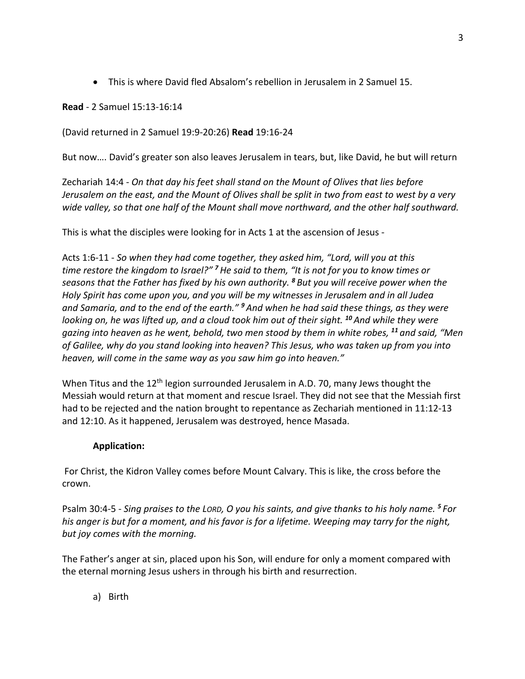• This is where David fled Absalom's rebellion in Jerusalem in 2 Samuel 15.

**Read** - 2 Samuel 15:13-16:14

(David returned in 2 Samuel 19:9-20:26) **Read** 19:16-24

But now…. David's greater son also leaves Jerusalem in tears, but, like David, he but will return

Zechariah 14:4 - *On that day his feet shall stand on the Mount of Olives that lies before Jerusalem on the east, and the Mount of Olives shall be split in two from east to west by a very wide valley, so that one half of the Mount shall move northward, and the other half southward.*

This is what the disciples were looking for in Acts 1 at the ascension of Jesus -

Acts 1:6-11 - *So when they had come together, they asked him, "Lord, will you at this time restore the kingdom to Israel?" <sup>7</sup>He said to them, "It is not for you to know times or seasons that the Father has fixed by his own authority. <sup>8</sup> But you will receive power when the Holy Spirit has come upon you, and you will be my witnesses in Jerusalem and in all Judea and Samaria, and to the end of the earth." <sup>9</sup> And when he had said these things, as they were looking on, he was lifted up, and a cloud took him out of their sight. <sup>10</sup> And while they were gazing into heaven as he went, behold, two men stood by them in white robes, <sup>11</sup> and said, "Men of Galilee, why do you stand looking into heaven? This Jesus, who was taken up from you into heaven, will come in the same way as you saw him go into heaven."*

When Titus and the 12<sup>th</sup> legion surrounded Jerusalem in A.D. 70, many Jews thought the Messiah would return at that moment and rescue Israel. They did not see that the Messiah first had to be rejected and the nation brought to repentance as Zechariah mentioned in 11:12-13 and 12:10. As it happened, Jerusalem was destroyed, hence Masada.

## **Application:**

For Christ, the Kidron Valley comes before Mount Calvary. This is like, the cross before the crown.

Psalm 30:4-5 - *Sing praises to the LORD, O you his saints, and give thanks to his holy name. <sup>5</sup> For his anger is but for a moment, and his favor is for a lifetime. Weeping may tarry for the night, but joy comes with the morning.*

The Father's anger at sin, placed upon his Son, will endure for only a moment compared with the eternal morning Jesus ushers in through his birth and resurrection.

a) Birth